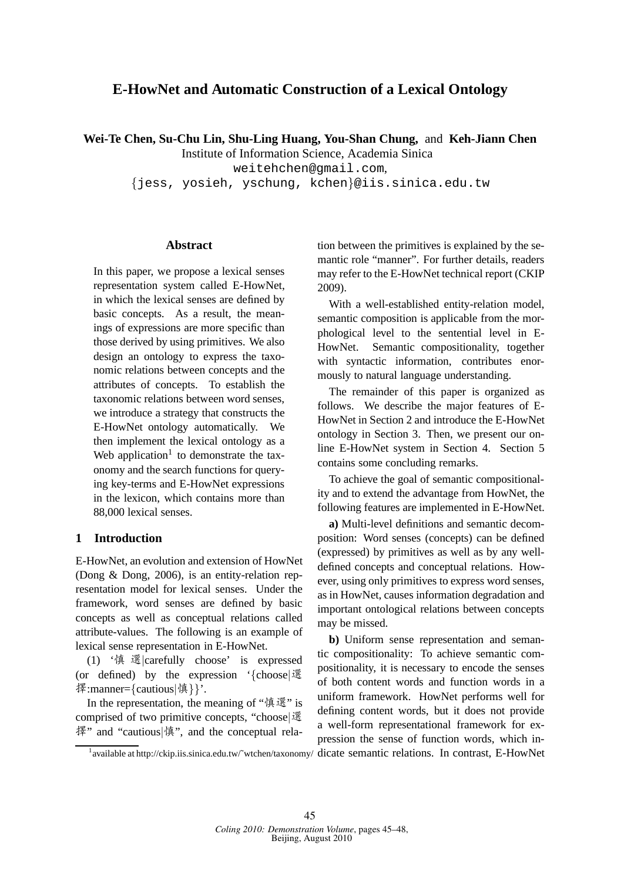# **E-HowNet and Automatic Construction of a Lexical Ontology**

**Wei-Te Chen, Su-Chu Lin, Shu-Ling Huang, You-Shan Chung,** and **Keh-Jiann Chen**

Institute of Information Science, Academia Sinica

weitehchen@gmail.com,

{jess, yosieh, yschung, kchen}@iis.sinica.edu.tw

#### **Abstract**

In this paper, we propose a lexical senses representation system called E-HowNet, in which the lexical senses are defined by basic concepts. As a result, the meanings of expressions are more specific than those derived by using primitives. We also design an ontology to express the taxonomic relations between concepts and the attributes of concepts. To establish the taxonomic relations between word senses, we introduce a strategy that constructs the E-HowNet ontology automatically. We then implement the lexical ontology as a Web application<sup>1</sup> to demonstrate the taxonomy and the search functions for querying key-terms and E-HowNet expressions in the lexicon, which contains more than 88,000 lexical senses.

## **1 Introduction**

E-HowNet, an evolution and extension of HowNet (Dong & Dong, 2006), is an entity-relation representation model for lexical senses. Under the framework, word senses are defined by basic concepts as well as conceptual relations called attribute-values. The following is an example of lexical sense representation in E-HowNet.

(1) '<sup>慎</sup> <sup>選</sup>|carefully choose' is expressed (or defined) by the expression '{choose|<sup>選</sup> <sup>擇</sup>:manner={cautious|慎}}'.

In the representation, the meaning of "慎選" is comprised of two primitive concepts, "choose|<sup>選</sup> <sup>擇</sup>" and "cautious|慎", and the conceptual relation between the primitives is explained by the semantic role "manner". For further details, readers may refer to the E-HowNet technical report (CKIP 2009).

With a well-established entity-relation model, semantic composition is applicable from the morphological level to the sentential level in E-HowNet. Semantic compositionality, together with syntactic information, contributes enormously to natural language understanding.

The remainder of this paper is organized as follows. We describe the major features of E-HowNet in Section 2 and introduce the E-HowNet ontology in Section 3. Then, we present our online E-HowNet system in Section 4. Section 5 contains some concluding remarks.

To achieve the goal of semantic compositionality and to extend the advantage from HowNet, the following features are implemented in E-HowNet.

**a)** Multi-level definitions and semantic decomposition: Word senses (concepts) can be defined (expressed) by primitives as well as by any welldefined concepts and conceptual relations. However, using only primitives to express word senses, as in HowNet, causes information degradation and important ontological relations between concepts may be missed.

**b)** Uniform sense representation and semantic compositionality: To achieve semantic compositionality, it is necessary to encode the senses of both content words and function words in a uniform framework. HowNet performs well for defining content words, but it does not provide a well-form representational framework for expression the sense of function words, which in-

1 available at http://ckip.iis.sinica.edu.tw/˜wtchen/taxonomy/ dicate semantic relations. In contrast, E-HowNet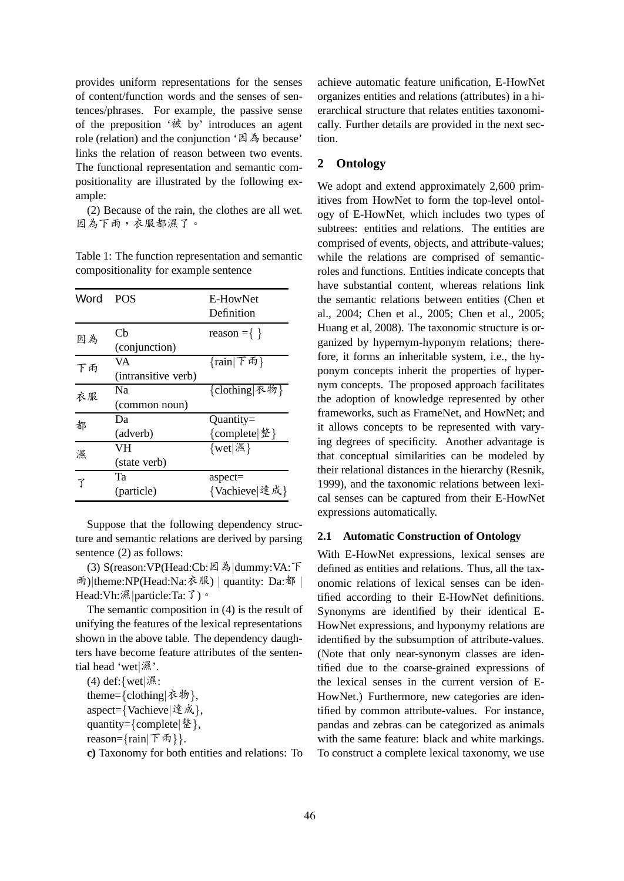provides uniform representations for the senses of content/function words and the senses of sentences/phrases. For example, the passive sense of the preposition '被 by' introduces an agent role (relation) and the conjunction '因為 because' links the relation of reason between two events. The functional representation and semantic compositionality are illustrated by the following example:

(2) Because of the rain, the clothes are all wet. 因為下雨,衣服都濕了。

| Word | <b>POS</b>                | E-HowNet<br>Definition       |
|------|---------------------------|------------------------------|
| 因為   | Сh<br>(conjunction)       | reason = $\{\}$              |
| 下雨   | VA<br>(intransitive verb) | {rain   下雨}                  |
| 衣服   | Nа<br>(common noun)       | {clothing 衣物}                |
| 都    | Dа<br>(adverb)            | $Quantity =$<br>{complete 整} |
| 濕    | VH<br>(state verb)        | ${wet} \mathcal{R}\}\$       |
| 了    | Та<br>(particle)          | $aspect =$<br>{Vachieve 達成}  |

Table 1: The function representation and semantic compositionality for example sentence

Suppose that the following dependency structure and semantic relations are derived by parsing sentence (2) as follows:

(3) S(reason:VP(Head:Cb:因為|dummy:VA:<sup>下</sup> <sup>雨</sup>)|theme:NP(Head:Na:衣服) <sup>|</sup> quantity: Da:<sup>都</sup> <sup>|</sup> Head:Vh:濕 | particle:Ta: 了)。

The semantic composition in (4) is the result of unifying the features of the lexical representations shown in the above table. The dependency daughters have become feature attributes of the sentential head 'wet|濕'.

(4) def:{wet|濕: theme={clothing|衣物}, aspect={Vachieve|達成}, quantity={complete|整}, reason={rain|下雨}}.

**c)** Taxonomy for both entities and relations: To

achieve automatic feature unification, E-HowNet organizes entities and relations (attributes) in a hierarchical structure that relates entities taxonomically. Further details are provided in the next section.

#### **2 Ontology**

We adopt and extend approximately 2,600 primitives from HowNet to form the top-level ontology of E-HowNet, which includes two types of subtrees: entities and relations. The entities are comprised of events, objects, and attribute-values; while the relations are comprised of semanticroles and functions. Entities indicate concepts that have substantial content, whereas relations link the semantic relations between entities (Chen et al., 2004; Chen et al., 2005; Chen et al., 2005; Huang et al, 2008). The taxonomic structure is organized by hypernym-hyponym relations; therefore, it forms an inheritable system, i.e., the hyponym concepts inherit the properties of hypernym concepts. The proposed approach facilitates the adoption of knowledge represented by other frameworks, such as FrameNet, and HowNet; and it allows concepts to be represented with varying degrees of specificity. Another advantage is that conceptual similarities can be modeled by their relational distances in the hierarchy (Resnik, 1999), and the taxonomic relations between lexical senses can be captured from their E-HowNet expressions automatically.

#### **2.1 Automatic Construction of Ontology**

With E-HowNet expressions, lexical senses are defined as entities and relations. Thus, all the taxonomic relations of lexical senses can be identified according to their E-HowNet definitions. Synonyms are identified by their identical E-HowNet expressions, and hyponymy relations are identified by the subsumption of attribute-values. (Note that only near-synonym classes are identified due to the coarse-grained expressions of the lexical senses in the current version of E-HowNet.) Furthermore, new categories are identified by common attribute-values. For instance, pandas and zebras can be categorized as animals with the same feature: black and white markings. To construct a complete lexical taxonomy, we use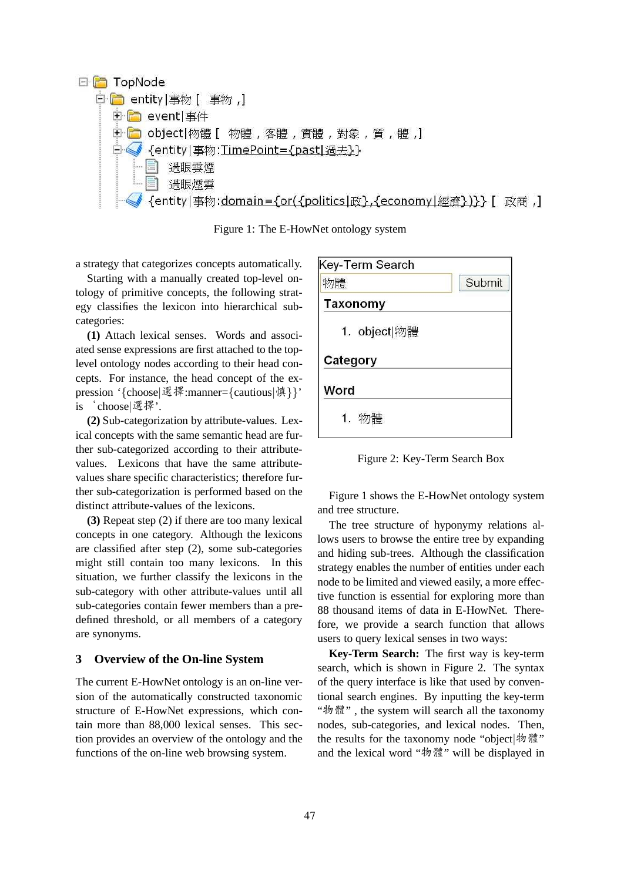

Figure 1: The E-HowNet ontology system

a strategy that categorizes concepts automatically.

Starting with a manually created top-level ontology of primitive concepts, the following strategy classifies the lexicon into hierarchical subcategories:

**(1)** Attach lexical senses. Words and associated sense expressions are first attached to the toplevel ontology nodes according to their head concepts. For instance, the head concept of the expression '{choose|選擇:manner={cautious|慎}}' is 'choose|選擇'.

**(2)** Sub-categorization by attribute-values. Lexical concepts with the same semantic head are further sub-categorized according to their attributevalues. Lexicons that have the same attributevalues share specific characteristics; therefore further sub-categorization is performed based on the distinct attribute-values of the lexicons.

**(3)** Repeat step (2) if there are too many lexical concepts in one category. Although the lexicons are classified after step (2), some sub-categories might still contain too many lexicons. In this situation, we further classify the lexicons in the sub-category with other attribute-values until all sub-categories contain fewer members than a predefined threshold, or all members of a category are synonyms.

## **3 Overview of the On-line System**

The current E-HowNet ontology is an on-line version of the automatically constructed taxonomic structure of E-HowNet expressions, which contain more than 88,000 lexical senses. This section provides an overview of the ontology and the functions of the on-line web browsing system.

| Key-Term Search |        |
|-----------------|--------|
| 物體              | Submit |
| Taxonomy        |        |
| 1. object 物體    |        |
| Category        |        |
| Word            |        |
| 1. 物體           |        |

Figure 2: Key-Term Search Box

Figure 1 shows the E-HowNet ontology system and tree structure.

The tree structure of hyponymy relations allows users to browse the entire tree by expanding and hiding sub-trees. Although the classification strategy enables the number of entities under each node to be limited and viewed easily, a more effective function is essential for exploring more than 88 thousand items of data in E-HowNet. Therefore, we provide a search function that allows users to query lexical senses in two ways:

**Key-Term Search:** The first way is key-term search, which is shown in Figure 2. The syntax of the query interface is like that used by conventional search engines. By inputting the key-term "物體" , the system will search all the taxonomy nodes, sub-categories, and lexical nodes. Then, the results for the taxonomy node "object|物體" and the lexical word "物體" will be displayed in